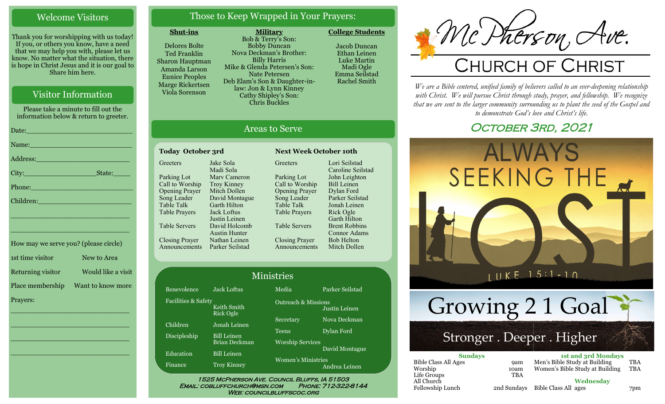# Welcome Visitors

Thank you for worshipping with us today! If you, or others you know, have a need that we may help you with, please let us know. No matter what the situation, there is hope in Christ Jesus and it is our goal to Share him here.

# Visitor Information

Please take a minute to fill out the information below & return to greeter. Date:\_\_\_\_\_\_\_\_\_\_\_\_\_\_\_\_\_\_\_\_\_\_\_\_\_ Name: Address:\_\_\_\_\_\_\_\_\_\_\_\_\_\_\_\_\_\_\_\_\_\_ City: State:

Phone:\_\_\_\_\_\_\_\_\_\_\_\_\_\_\_\_\_\_\_\_\_\_\_\_

Children:

How may we serve you? (please circle) 1st time visitor New to Area Returning visitor Would like a visit Place membership Want to know more Prayers:

\_\_\_\_\_\_\_\_\_\_\_\_\_\_\_\_\_\_\_\_\_\_\_\_\_\_\_\_

 $\overline{\phantom{a}}$  , and the set of the set of the set of the set of the set of the set of the set of the set of the set of the set of the set of the set of the set of the set of the set of the set of the set of the set of the s

 $\overline{\phantom{a}}$  , and the set of the set of the set of the set of the set of the set of the set of the set of the set of the set of the set of the set of the set of the set of the set of the set of the set of the set of the s

\_\_\_\_\_\_\_\_\_\_\_\_\_\_\_\_\_\_\_\_\_\_\_\_\_\_\_\_

\_\_\_\_\_\_\_\_\_\_\_\_\_\_\_\_\_\_\_\_\_\_\_\_\_\_\_\_

\_\_\_\_\_\_\_\_\_\_\_\_\_\_\_\_\_\_\_\_\_\_\_\_\_\_\_\_

# Those to Keep Wrapped in Your Prayers:

#### **Shut-ins**

Delores Bolte Ted Franklin Sharon Hauptman Amanda Larson Eunice Peoples Marge Rickertsen Viola Sorenson

**Military** Bob & Terry's Son: Bobby Duncan Nova Deckman's Brother: Billy Harris Mike & Glenda Petersen's Son: Nate Petersen Deb Elam's Son & Daughter-inlaw: Jon & Lynn Kinney Cathy Shipley's Son: Chris Buckles

Jacob Duncan Ethan Leinen Luke Martin Madi Ogle

**College Students** 

Emma Seilstad Rachel Smith

# Areas to Serve

#### **Today October 3rd Next Week October 10th Greeters** Parking Lot Call to Worship Opening Prayer Song Leader Table Talk Table Prayers Table Servers Closing Prayer Announcements Parker Seilstad Jake Sola Madi Sola Marv Cameron Troy Kinney Mitch Dollen David Montague Garth Hilton Jack Loftus Justin Leinen David Holcomb Austin Hunter Nathan Leinen

Fac

**Greeters** Parking Lot Call to Worship Opening Prayer Song Leader Table Talk Table Prayers Table Servers Closing Prayer Announcements Lori Seilstad Caroline Seilstad John Leighton Bill Leinen Dylan Ford Parker Seilstad Jonah Leinen Rick Ogle Garth Hilton Brent Robbins Connor Adams Bob Helton Mitch Dollen

|                     |                                     | <b>Ministries</b>                          |                                                 |  |
|---------------------|-------------------------------------|--------------------------------------------|-------------------------------------------------|--|
| Benevolence         | <b>Jack Loftus</b>                  | Media                                      | Parker Seilstad                                 |  |
| Facilities & Safety | Keith Smith<br><b>Rick Ogle</b>     |                                            | <b>Outreach &amp; Missions</b><br>Justin Leinen |  |
| Children            | Jonah Leinen                        | Secretary                                  | Nova Deckman                                    |  |
| Discipleship        | <b>Bill Leinen</b><br>Brian Deckman | Teens<br><b>Worship Services</b>           | Dylan Ford                                      |  |
| Education           | <b>Bill Leinen</b>                  |                                            | David Montague                                  |  |
| Finance             | <b>Troy Kinney</b>                  | <b>Women's Ministries</b><br>Andrea Leinen |                                                 |  |

WEB: COUNCILBLUFFSCOC.ORG

# Mc Pherson, Ave.

*We are a Bible centered, unified family of believers called to an ever-deepening relationship*  with Christ. We will pursue Christ through study, prayer, and fellowship. We recognize *that we are sent to the larger community surrounding us to plant the seed of the Gospel and to demonstrate God's love and Christ's life.*

# OCTOBER 3RD, 2021